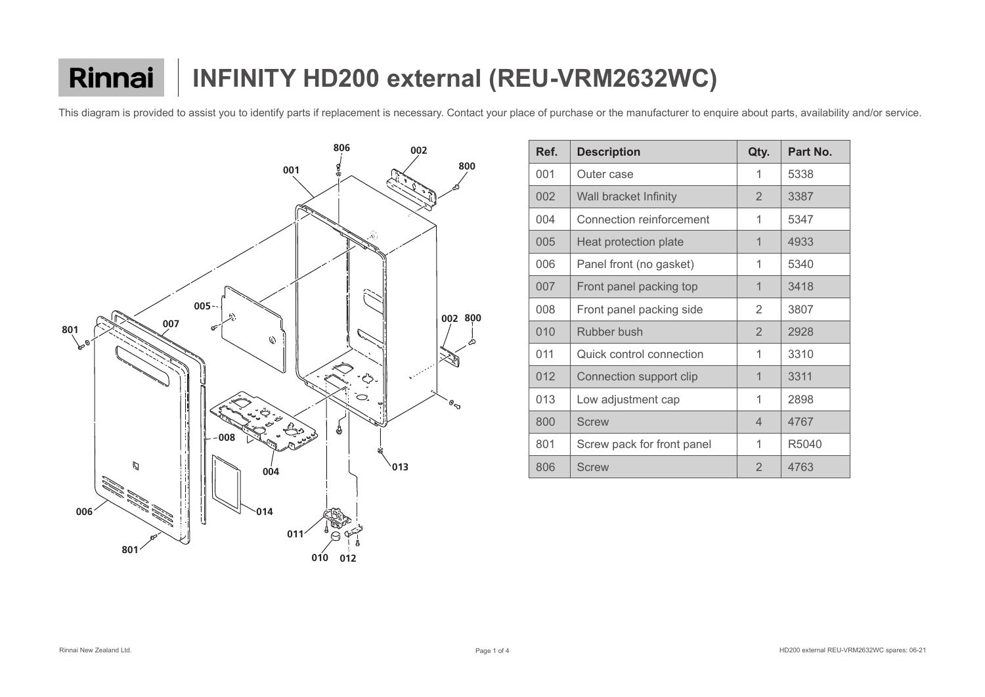|  |  | bout parts, availability and/or servic |  |  |
|--|--|----------------------------------------|--|--|
|--|--|----------------------------------------|--|--|



| Ref. | <b>Description</b>              | Qty.                     | Part No. |
|------|---------------------------------|--------------------------|----------|
| 001  | Outer case                      | 1                        | 5338     |
| 002  | <b>Wall bracket Infinity</b>    | $\overline{2}$           | 3387     |
| 004  | <b>Connection reinforcement</b> | 1                        | 5347     |
| 005  | <b>Heat protection plate</b>    | 1                        | 4933     |
| 006  | Panel front (no gasket)         | 1                        | 5340     |
| 007  | Front panel packing top         | $\overline{\mathcal{L}}$ | 3418     |
| 008  | Front panel packing side        | $\overline{2}$           | 3807     |
| 010  | <b>Rubber bush</b>              | $\overline{2}$           | 2928     |
| 011  | Quick control connection        | 1                        | 3310     |
| 012  | Connection support clip         | $\overline{\mathcal{L}}$ | 3311     |
| 013  | Low adjustment cap              | 1                        | 2898     |
| 800  | <b>Screw</b>                    | $\overline{4}$           | 4767     |
| 801  | Screw pack for front panel      | 1                        | R5040    |
| 806  | <b>Screw</b>                    | $\overline{2}$           | 4763     |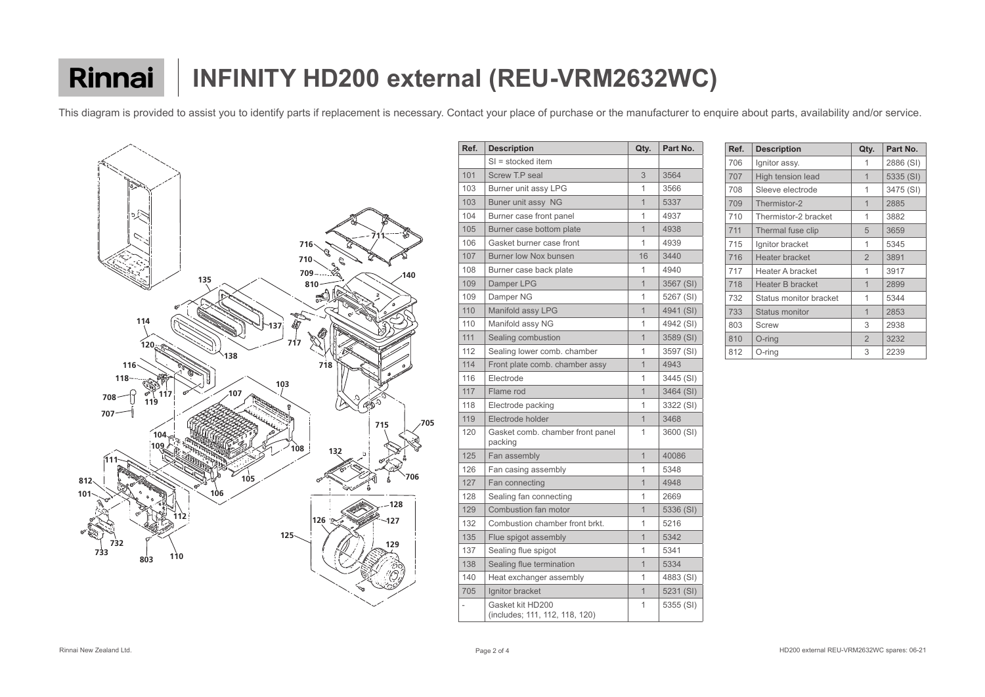

| Ref. | <b>Description</b>                                 | Qty.           | Part No.  |
|------|----------------------------------------------------|----------------|-----------|
|      | $SI =$ stocked item                                |                |           |
| 101  | <b>Screw T.P seal</b>                              | 3              | 3564      |
| 103  | Burner unit assy LPG                               | 1              | 3566      |
| 103  | Buner unit assy NG                                 | $\mathbf 1$    | 5337      |
| 104  | Burner case front panel                            | 1              | 4937      |
| 105  | Burner case bottom plate                           | $\mathbf 1$    | 4938      |
| 106  | Gasket burner case front                           | 1              | 4939      |
| 107  | <b>Burner low Nox bunsen</b>                       | 16             | 3440      |
| 108  | Burner case back plate                             | 1              | 4940      |
| 109  | Damper LPG                                         | $\mathbf 1$    | 3567 (SI) |
| 109  | Damper NG                                          | 1              | 5267 (SI) |
| 110  | Manifold assy LPG                                  | $\mathbf 1$    | 4941 (SI) |
| 110  | Manifold assy NG                                   | 1              | 4942 (SI) |
| 111  | Sealing combustion                                 | $\mathbf 1$    | 3589 (SI) |
| 112  | Sealing lower comb. chamber                        | 1              | 3597 (SI) |
| 114  | Front plate comb. chamber assy                     | 1              | 4943      |
| 116  | Electrode                                          | 1              | 3445 (SI) |
| 117  | Flame rod                                          | $\overline{1}$ | 3464 (SI) |
| 118  | Electrode packing                                  | 1              | 3322 (SI) |
| 119  | Electrode holder                                   | $\mathbf 1$    | 3468      |
| 120  | Gasket comb. chamber front panel<br>packing        | 1              | 3600 (SI) |
| 125  | Fan assembly                                       | $\overline{1}$ | 40086     |
| 126  | Fan casing assembly                                | 1              | 5348      |
| 127  | Fan connecting                                     | $\overline{1}$ | 4948      |
| 128  | Sealing fan connecting                             | 1              | 2669      |
| 129  | Combustion fan motor                               | $\overline{1}$ | 5336 (SI) |
| 132  | Combustion chamber front brkt.                     | 1              | 5216      |
| 135  | Flue spigot assembly                               | $\overline{1}$ | 5342      |
| 137  | Sealing flue spigot                                | 1              | 5341      |
| 138  | Sealing flue termination                           | $\mathbf 1$    | 5334      |
| 140  | Heat exchanger assembly                            | 1              | 4883 (SI) |
| 705  | Ignitor bracket                                    | $\mathbf 1$    | 5231 (SI) |
|      | Gasket kit HD200<br>(includes; 111, 112, 118, 120) | 1              | 5355 (SI) |

| Ref. | <b>Description</b>     | Qty.           | Part No.  |
|------|------------------------|----------------|-----------|
| 706  | Ignitor assy.          | 1              | 2886 (SI) |
| 707  | High tension lead      | 1              | 5335 (SI) |
| 708  | Sleeve electrode       | 1              | 3475 (SI) |
| 709  | Thermistor-2           | 1              | 2885      |
| 710  | Thermistor-2 bracket   | 1              | 3882      |
| 711  | Thermal fuse clip      | 5              | 3659      |
| 715  | Ignitor bracket        | 1              | 5345      |
| 716  | Heater bracket         | $\overline{2}$ | 3891      |
| 717  | Heater A bracket       | 1              | 3917      |
| 718  | Heater B bracket       | 1              | 2899      |
| 732  | Status monitor bracket | 1              | 5344      |
| 733  | <b>Status monitor</b>  | 1              | 2853      |
| 803  | <b>Screw</b>           | 3              | 2938      |
| 810  | $O$ -ring              | $\overline{2}$ | 3232      |
| 812  | O-ring                 | 3              | 2239      |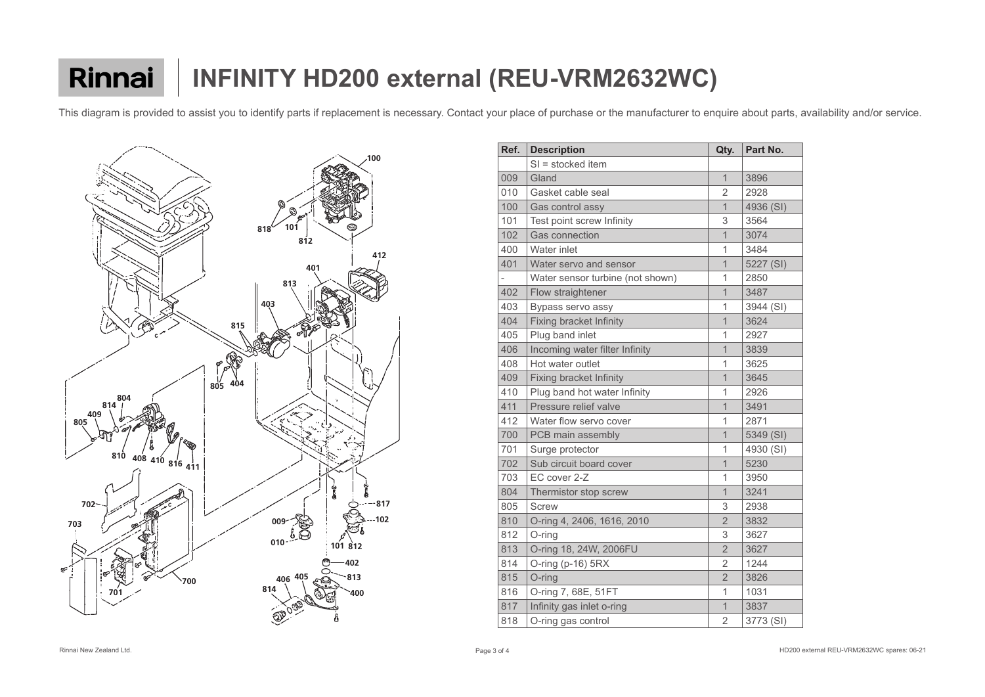

| Ref. | <b>Description</b>               | Qty.                     | Part No.  |
|------|----------------------------------|--------------------------|-----------|
|      | SI = stocked item                |                          |           |
| 009  | Gland                            | $\mathbf 1$              | 3896      |
| 010  | Gasket cable seal                | $\overline{2}$           | 2928      |
| 100  | Gas control assy                 | $\overline{1}$           | 4936 (SI) |
| 101  | Test point screw Infinity        | 3                        | 3564      |
| 102  | <b>Gas connection</b>            | $\mathbf 1$              | 3074      |
| 400  | Water inlet                      | 1                        | 3484      |
| 401  | Water servo and sensor           | $\mathbf 1$              | 5227 (SI) |
|      | Water sensor turbine (not shown) | 1                        | 2850      |
| 402  | Flow straightener                | 1                        | 3487      |
| 403  | Bypass servo assy                | 1                        | 3944 (SI) |
| 404  | <b>Fixing bracket Infinity</b>   | $\overline{1}$           | 3624      |
| 405  | Plug band inlet                  | 1                        | 2927      |
| 406  | Incoming water filter Infinity   | $\mathbf{1}$             | 3839      |
| 408  | Hot water outlet                 | 1                        | 3625      |
| 409  | <b>Fixing bracket Infinity</b>   | $\mathbf 1$              | 3645      |
| 410  | Plug band hot water Infinity     | 1                        | 2926      |
| 411  | Pressure relief valve            | $\mathbf 1$              | 3491      |
| 412  | Water flow servo cover           | 1                        | 2871      |
| 700  | PCB main assembly                | $\overline{1}$           | 5349 (SI) |
| 701  | Surge protector                  | 1                        | 4930 (SI) |
| 702  | Sub circuit board cover          | $\overline{1}$           | 5230      |
| 703  | EC cover 2-Z                     | 1                        | 3950      |
| 804  | Thermistor stop screw            | $\overline{\mathcal{L}}$ | 3241      |
| 805  | <b>Screw</b>                     | 3                        | 2938      |
| 810  | O-ring 4, 2406, 1616, 2010       | $\overline{2}$           | 3832      |
| 812  | $O$ -ring                        | 3                        | 3627      |
| 813  | O-ring 18, 24W, 2006FU           | $\overline{2}$           | 3627      |
| 814  | O-ring (p-16) 5RX                | $\overline{2}$           | 1244      |
| 815  | O-ring                           | $\overline{2}$           | 3826      |
| 816  | O-ring 7, 68E, 51FT              | 1                        | 1031      |
| 817  | Infinity gas inlet o-ring        | $\mathbf{1}$             | 3837      |
| 818  | O-ring gas control               | 2                        | 3773 (SI) |